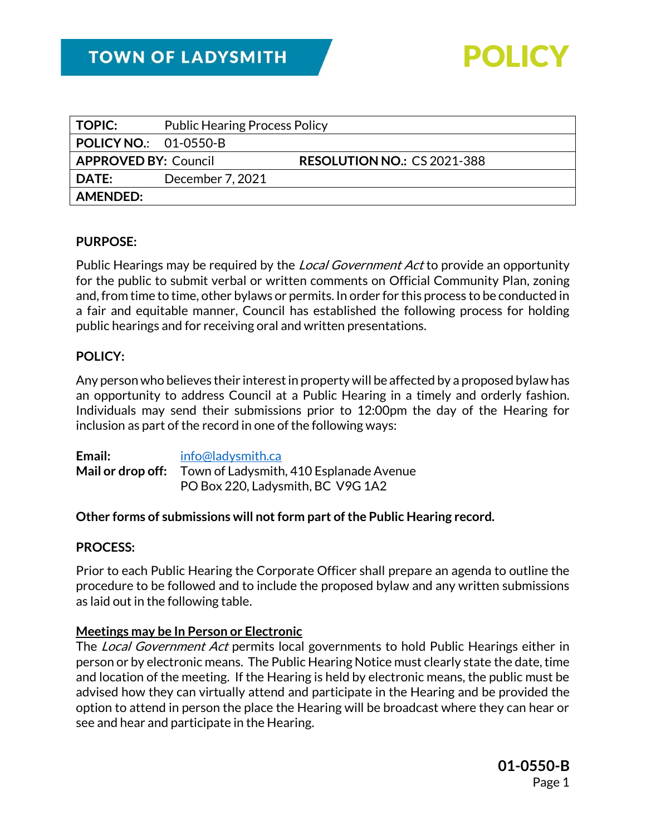

| <b>Public Hearing Process Policy</b> |                                                             |
|--------------------------------------|-------------------------------------------------------------|
|                                      |                                                             |
|                                      | <b>RESOLUTION NO.: CS 2021-388</b>                          |
| December 7, 2021                     |                                                             |
|                                      |                                                             |
|                                      | <b>POLICY NO.:</b> 01-0550-B<br><b>APPROVED BY: Council</b> |

### **PURPOSE:**

Public Hearings may be required by the *Local Government Act* to provide an opportunity for the public to submit verbal or written comments on Official Community Plan, zoning and, from time to time, other bylaws or permits. In order for this process to be conducted in a fair and equitable manner, Council has established the following process for holding public hearings and for receiving oral and written presentations.

### **POLICY:**

Any person who believes their interest in property will be affected by a proposed bylaw has an opportunity to address Council at a Public Hearing in a timely and orderly fashion. Individuals may send their submissions prior to 12:00pm the day of the Hearing for inclusion as part of the record in one of the following ways:

| Email: | info@ladysmith.ca                                         |
|--------|-----------------------------------------------------------|
|        | Mail or drop off: Town of Ladysmith, 410 Esplanade Avenue |
|        | PO Box 220, Ladysmith, BC V9G 1A2                         |

### **Other forms of submissions will not form part of the Public Hearing record.**

#### **PROCESS:**

Prior to each Public Hearing the Corporate Officer shall prepare an agenda to outline the procedure to be followed and to include the proposed bylaw and any written submissions as laid out in the following table.

### **Meetings may be In Person or Electronic**

The Local Government Act permits local governments to hold Public Hearings either in person or by electronic means. The Public Hearing Notice must clearly state the date, time and location of the meeting. If the Hearing is held by electronic means, the public must be advised how they can virtually attend and participate in the Hearing and be provided the option to attend in person the place the Hearing will be broadcast where they can hear or see and hear and participate in the Hearing.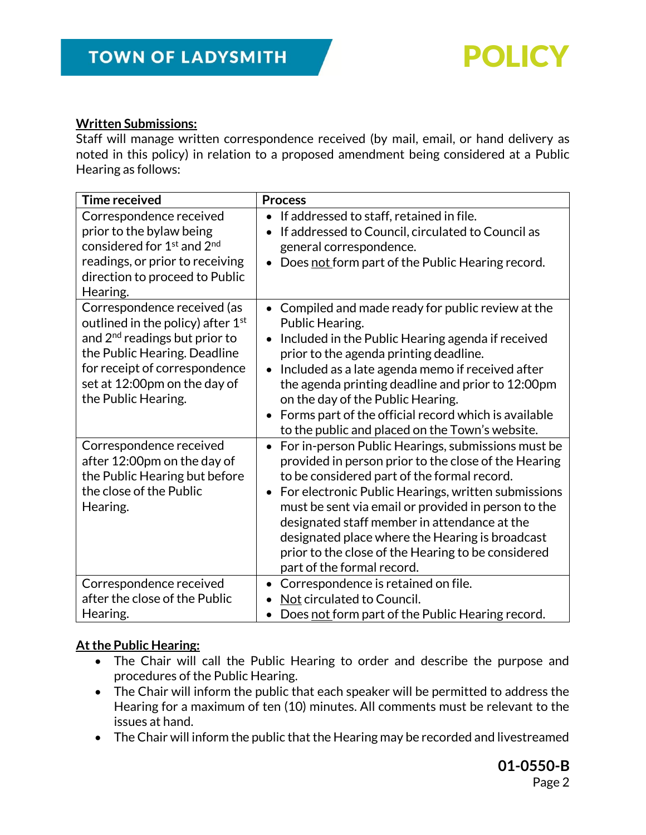

## **Written Submissions:**

Staff will manage written correspondence received (by mail, email, or hand delivery as noted in this policy) in relation to a proposed amendment being considered at a Public Hearing as follows:

| <b>Time received</b>                                                                                                                                                                                                          | <b>Process</b>                                                                                                                                                                                                                                                                                                                                                                                                                                                 |
|-------------------------------------------------------------------------------------------------------------------------------------------------------------------------------------------------------------------------------|----------------------------------------------------------------------------------------------------------------------------------------------------------------------------------------------------------------------------------------------------------------------------------------------------------------------------------------------------------------------------------------------------------------------------------------------------------------|
| Correspondence received<br>prior to the bylaw being<br>considered for 1 <sup>st</sup> and 2 <sup>nd</sup><br>readings, or prior to receiving<br>direction to proceed to Public<br>Hearing.                                    | If addressed to staff, retained in file.<br>$\bullet$<br>If addressed to Council, circulated to Council as<br>general correspondence.<br>Does not form part of the Public Hearing record.                                                                                                                                                                                                                                                                      |
| Correspondence received (as<br>outlined in the policy) after $1st$<br>and $2nd$ readings but prior to<br>the Public Hearing. Deadline<br>for receipt of correspondence<br>set at 12:00pm on the day of<br>the Public Hearing. | Compiled and made ready for public review at the<br>Public Hearing.<br>Included in the Public Hearing agenda if received<br>prior to the agenda printing deadline.<br>Included as a late agenda memo if received after<br>the agenda printing deadline and prior to 12:00pm<br>on the day of the Public Hearing.<br>Forms part of the official record which is available<br>to the public and placed on the Town's website.                                    |
| Correspondence received<br>after 12:00pm on the day of<br>the Public Hearing but before<br>the close of the Public<br>Hearing.                                                                                                | For in-person Public Hearings, submissions must be<br>provided in person prior to the close of the Hearing<br>to be considered part of the formal record.<br>For electronic Public Hearings, written submissions<br>must be sent via email or provided in person to the<br>designated staff member in attendance at the<br>designated place where the Hearing is broadcast<br>prior to the close of the Hearing to be considered<br>part of the formal record. |
| Correspondence received                                                                                                                                                                                                       | Correspondence is retained on file.<br>$\bullet$                                                                                                                                                                                                                                                                                                                                                                                                               |
| after the close of the Public                                                                                                                                                                                                 | Not circulated to Council.                                                                                                                                                                                                                                                                                                                                                                                                                                     |
| Hearing.                                                                                                                                                                                                                      | Does not form part of the Public Hearing record.                                                                                                                                                                                                                                                                                                                                                                                                               |

### **At the Public Hearing:**

- The Chair will call the Public Hearing to order and describe the purpose and procedures of the Public Hearing.
- The Chair will inform the public that each speaker will be permitted to address the Hearing for a maximum of ten (10) minutes. All comments must be relevant to the issues at hand.
- The Chair will inform the public that the Hearing may be recorded and livestreamed